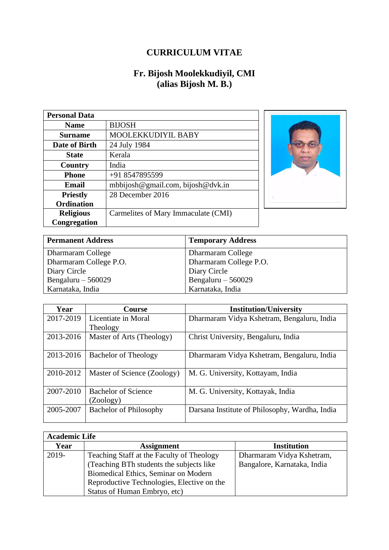## **CURRICULUM VITAE**

## **Fr. Bijosh Moolekkudiyil, CMI (alias Bijosh M. B.)**

| <b>Personal Data</b> |                                     |
|----------------------|-------------------------------------|
| <b>Name</b>          | <b>BIJOSH</b>                       |
| Surname              | MOOLEKKUDIYIL BABY                  |
| Date of Birth        | 24 July 1984                        |
| <b>State</b>         | Kerala                              |
| Country              | India                               |
| Phone                | +91 8547895599                      |
| Email                | mbbijosh@gmail.com, bijosh@dvk.in   |
| <b>Priestly</b>      | 28 December 2016                    |
| <b>Ordination</b>    |                                     |
| <b>Religious</b>     | Carmelites of Mary Immaculate (CMI) |
| Congregation         |                                     |



| <b>Permanent Address</b> | <b>Temporary Address</b> |
|--------------------------|--------------------------|
| Dharmaram College        | Dharmaram College        |
| Dharmaram College P.O.   | Dharmaram College P.O.   |
| Diary Circle             | Diary Circle             |
| Bengaluru $-560029$      | Bengaluru $-560029$      |
| Karnataka, India         | Karnataka, India         |

| Year      | <b>Course</b>                 | <b>Institution/University</b>                  |
|-----------|-------------------------------|------------------------------------------------|
| 2017-2019 | Licentiate in Moral           | Dharmaram Vidya Kshetram, Bengaluru, India     |
|           | Theology                      |                                                |
| 2013-2016 | Master of Arts (Theology)     | Christ University, Bengaluru, India            |
| 2013-2016 | <b>Bachelor of Theology</b>   | Dharmaram Vidya Kshetram, Bengaluru, India     |
| 2010-2012 | Master of Science (Zoology)   | M. G. University, Kottayam, India              |
| 2007-2010 | <b>Bachelor of Science</b>    | M. G. University, Kottayak, India              |
|           | (Zoology)                     |                                                |
| 2005-2007 | <b>Bachelor of Philosophy</b> | Darsana Institute of Philosophy, Wardha, India |

| <b>Academic Life</b> |                                            |                             |
|----------------------|--------------------------------------------|-----------------------------|
| Year                 | <b>Assignment</b>                          | <b>Institution</b>          |
| $2019 -$             | Teaching Staff at the Faculty of Theology  | Dharmaram Vidya Kshetram,   |
|                      | (Teaching BTh students the subjects like)  | Bangalore, Karnataka, India |
|                      | Biomedical Ethics, Seminar on Modern       |                             |
|                      | Reproductive Technologies, Elective on the |                             |
|                      | Status of Human Embryo, etc)               |                             |